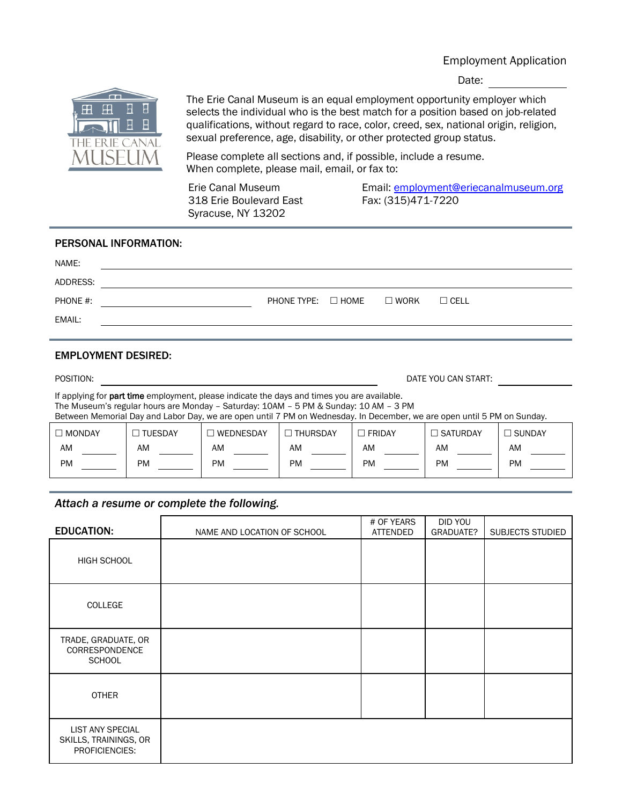## Employment Application

Date:



The Erie Canal Museum is an equal employment opportunity employer which selects the individual who is the best match for a position based on job-related qualifications, without regard to race, color, creed, sex, national origin, religion, sexual preference, age, disability, or other protected group status.

Please complete all sections and, if possible, include a resume. When complete, please mail, email, or fax to:

Erie Canal Museum 318 Erie Boulevard East Syracuse, NY 13202

Email: [employment@eriecanalmuseum.org](mailto:employment@eriecanalmuseum.org) Fax: (315)471-7220

#### PERSONAL INFORMATION:

| NAME:    |                                     |  |             |
|----------|-------------------------------------|--|-------------|
| ADDRESS: |                                     |  |             |
| PHONE #: | PHONE TYPE: $\Box$ HOME $\Box$ WORK |  | $\Box$ CELL |
| EMAIL:   |                                     |  |             |

### EMPLOYMENT DESIRED:

| POSITION:                                                                                                               |                |                                                                                                                                                                                            |                 | DATE YOU CAN START: |                 |          |
|-------------------------------------------------------------------------------------------------------------------------|----------------|--------------------------------------------------------------------------------------------------------------------------------------------------------------------------------------------|-----------------|---------------------|-----------------|----------|
|                                                                                                                         |                | If applying for <b>part time</b> employment, please indicate the days and times you are available.<br>The Museum's regular hours are Monday - Saturday: 10AM - 5 PM & Sunday: 10 AM - 3 PM |                 |                     |                 |          |
| Between Memorial Day and Labor Day, we are open until 7 PM on Wednesday. In December, we are open until 5 PM on Sunday. |                |                                                                                                                                                                                            |                 |                     |                 |          |
| $\Box$ MONDAY                                                                                                           | $\Box$ TUESDAY | l WEDNESDAY                                                                                                                                                                                | $\Box$ THURSDAY | $\Box$ FRIDAY       | $\Box$ SATURDAY | ∃ SUNDAY |

| AM | AM        | AM        | AM | <b>AM</b> | AN.       | <b>AM</b> |
|----|-----------|-----------|----|-----------|-----------|-----------|
| PM | <b>PM</b> | <b>PM</b> | PM | <b>PM</b> | <b>PM</b> | <b>PM</b> |

# *Attach a resume or complete the following.*

| <b>EDUCATION:</b>                                                  | NAME AND LOCATION OF SCHOOL | # OF YEARS<br>ATTENDED | DID YOU<br>GRADUATE? | SUBJECTS STUDIED |
|--------------------------------------------------------------------|-----------------------------|------------------------|----------------------|------------------|
| HIGH SCHOOL                                                        |                             |                        |                      |                  |
| COLLEGE                                                            |                             |                        |                      |                  |
| TRADE, GRADUATE, OR<br>CORRESPONDENCE<br><b>SCHOOL</b>             |                             |                        |                      |                  |
| <b>OTHER</b>                                                       |                             |                        |                      |                  |
| <b>LIST ANY SPECIAL</b><br>SKILLS, TRAININGS, OR<br>PROFICIENCIES: |                             |                        |                      |                  |